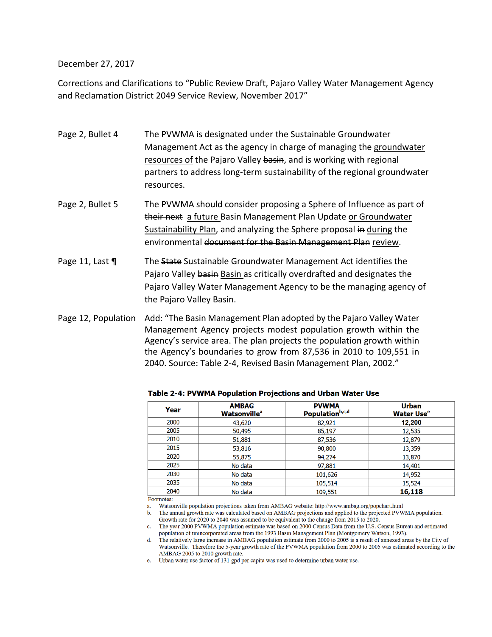December 27, 2017

Corrections and Clarifications to "Public Review Draft, Pajaro Valley Water Management Agency and Reclamation District 2049 Service Review, November 2017"

- Page 2, Bullet 4 The PVWMA is designated under the Sustainable Groundwater Management Act as the agency in charge of managing the groundwater resources of the Pajaro Valley basin, and is working with regional partners to address long‐term sustainability of the regional groundwater resources.
- Page 2, Bullet 5 The PVWMA should consider proposing a Sphere of Influence as part of their next a future Basin Management Plan Update or Groundwater Sustainability Plan, and analyzing the Sphere proposal in during the environmental document for the Basin Management Plan review.
- Page 11, Last  $\P$  The State Sustainable Groundwater Management Act identifies the Pajaro Valley basin Basin as critically overdrafted and designates the Pajaro Valley Water Management Agency to be the managing agency of the Pajaro Valley Basin.

Page 12, Population Add: "The Basin Management Plan adopted by the Pajaro Valley Water Management Agency projects modest population growth within the Agency's service area. The plan projects the population growth within the Agency's boundaries to grow from 87,536 in 2010 to 109,551 in 2040. Source: Table 2‐4, Revised Basin Management Plan, 2002."

| Year | <b>AMBAG</b><br><b>Watsonville</b> <sup>a</sup> | <b>PVWMA</b><br>Populationb,c,d | <b>Urban</b><br><b>Water Use<sup>e</sup></b> |
|------|-------------------------------------------------|---------------------------------|----------------------------------------------|
| 2000 | 43,620                                          | 82,921                          | 12,200                                       |
| 2005 | 50,495                                          | 85,197                          | 12,535                                       |
| 2010 | 51,881                                          | 87,536                          | 12,879                                       |
| 2015 | 53,816                                          | 90,800                          | 13,359                                       |
| 2020 | 55,875                                          | 94,274                          | 13,870                                       |
| 2025 | No data                                         | 97,881                          | 14,401                                       |
| 2030 | No data                                         | 101,626                         | 14,952                                       |
| 2035 | No data                                         | 105,514                         | 15,524                                       |
| 2040 | No data                                         | 109,551                         | 16,118                                       |

**Table 2-4: PVWMA Population Projections and Urban Water Use** 

Footnotes:

Watsonville population projections taken from AMBAG website: http://www.ambag.org/popchart.html a.

b. The annual growth rate was calculated based on AMBAG projections and applied to the projected PVWMA population. Growth rate for 2020 to 2040 was assumed to be equivalent to the change from 2015 to 2020.

c. The year 2000 PVWMA population estimate was based on 2000 Census Data from the U.S. Census Bureau and estimated population of unincorporated areas from the 1993 Basin Management Plan (Montgomery Watson, 1993).

The relatively large increase in AMBAG population estimate from 2000 to 2005 is a result of annexed areas by the City of  $d_{\cdot}$ Watsonville. Therefore the 5-year growth rate of the PVWMA population from 2000 to 2005 was estimated according to the AMBAG 2005 to 2010 growth rate.

e. Urban water use factor of 131 gpd per capita was used to determine urban water use.